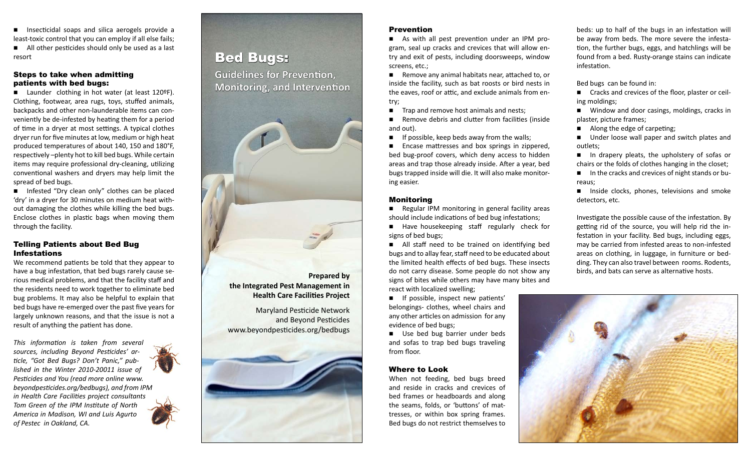$\blacksquare$  Insecticidal soaps and silica aerogels provide a least-toxic control that you can employ if all else fails;  $\blacksquare$  All other pesticides should only be used as a last resort

# Steps to take when admitting patients with bed bugs:

■ Launder clothing in hot water (at least 120ºF). Clothing, footwear, area rugs, toys, stuffed animals, backpacks and other non-launderable items can conveniently be de-infested by heating them for a period of time in a dryer at most settings. A typical clothes dryer run for five minutes at low, medium or high heat produced temperatures of about 140, 150 and 180°F, respectively –plenty hot to kill bed bugs. While certain items may require professional dry-cleaning, utilizing conventional washers and dryers may help limit the spread of bed bugs.

 $\blacksquare$  Infested "Dry clean only" clothes can be placed 'dry' in a dryer for 30 minutes on medium heat without damaging the clothes while killing the bed bugs. Enclose clothes in plastic bags when moving them through the facility.

# Telling Patients about Bed Bug Infestations

We recommend patients be told that they appear to have a bug infestation, that bed bugs rarely cause serious medical problems, and that the facility staff and the residents need to work together to eliminate bed bug problems. It may also be helpful to explain that bed bugs have re-emerged over the past five years for largely unknown reasons, and that the issue is not a result of anything the patient has done.

*This information is taken from several sources, including Beyond Pesticides' article, "Got Bed Bugs? Don't Panic," published in the Winter 2010-20011 issue of Pesticides and You (read more online www. beyondpesticides.org/bedbugs), and from IPM in Health Care Facilities project consultants Tom Green of the IPM Institute of North America in Madison, WI and Luis Agurto of Pestec in Oakland, CA.*



# Bed Bugs:

**Guidelines for Prevention, Monitoring, and Intervention**



**Prepared by the Integrated Pest Management in Health Care Facilities Project**

Maryland Pesticide Network and Beyond Pesticides www.beyondpesticides.org/bedbugs



# Prevention

 $\blacksquare$  As with all pest prevention under an IPM program, seal up cracks and crevices that will allow entry and exit of pests, including doorsweeps, window screens, etc.;

 $\blacksquare$  Remove any animal habitats near, attached to, or inside the facility, such as bat roosts or bird nests in the eaves, roof or attic, and exclude animals from entry;

 $\blacksquare$  Trap and remove host animals and nests;

 $\blacksquare$  Remove debris and clutter from facilities (inside and out).

 $\blacksquare$  If possible, keep beds away from the walls;

 $\blacksquare$  Encase mattresses and box springs in zippered, bed bug-proof covers, which deny access to hidden areas and trap those already inside. After a year, bed bugs trapped inside will die. It will also make monitoring easier.

# Monitoring

- $\blacksquare$  Regular IPM monitoring in general facility areas should include indications of bed bug infestations;
- $\blacksquare$  Have housekeeping staff regularly check for signs of bed bugs;

 $\blacksquare$  All staff need to be trained on identifying bed bugs and to allay fear, staff need to be educated about the limited health effects of bed bugs. These insects do not carry disease. Some people do not show any signs of bites while others may have many bites and react with localized swelling;

 $\blacksquare$  If possible, inspect new patients' belongings- clothes, wheel chairs and any other articles on admission for any evidence of bed bugs;

■ Use bed bug barrier under beds and sofas to trap bed bugs traveling from floor.

# Where to Look

When not feeding, bed bugs breed and reside in cracks and crevices of bed frames or headboards and along the seams, folds, or 'buttons' of mattresses, or within box spring frames. Bed bugs do not restrict themselves to

beds: up to half of the bugs in an infestation will be away from beds. The more severe the infestation, the further bugs, eggs, and hatchlings will be found from a bed. Rusty-orange stains can indicate infestation.

Bed bugs can be found in:

■ Cracks and crevices of the floor, plaster or ceiling moldings;

 $\blacksquare$  Window and door casings, moldings, cracks in plaster, picture frames;

 $\blacksquare$  Along the edge of carpeting;

 $\blacksquare$  Under loose wall paper and switch plates and outlets;

 $\blacksquare$  In drapery pleats, the upholstery of sofas or chairs or the folds of clothes hanging in the closet;

 $\blacksquare$  In the cracks and crevices of night stands or bureaus;

 $\blacksquare$  Inside clocks, phones, televisions and smoke detectors, etc.

Investigate the possible cause of the infestation. By getting rid of the source, you will help rid the infestation in your facility. Bed bugs, including eggs, may be carried from infested areas to non-infested areas on clothing, in luggage, in furniture or bedding. They can also travel between rooms. Rodents, birds, and bats can serve as alternative hosts.